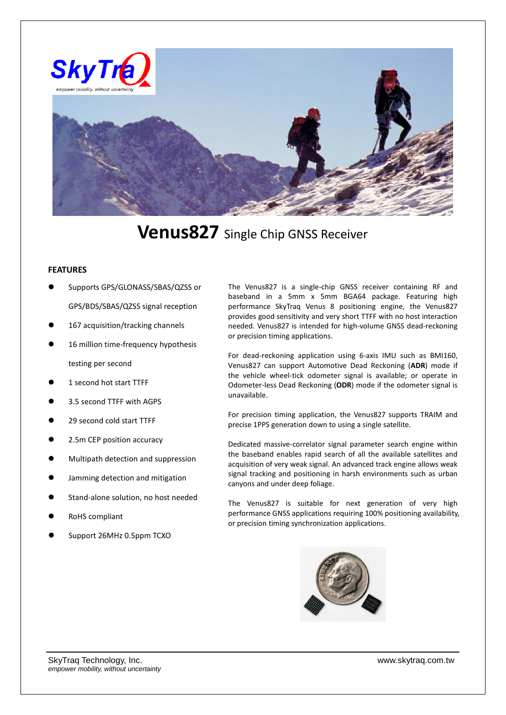

**Venus827** Single Chip GNSS Receiver

## **FEATURES**

- Supports GPS/GLONASS/SBAS/QZSS or GPS/BDS/SBAS/QZSS signal reception
- 167 acquisition/tracking channels
- 16 million time-frequency hypothesis testing per second
- 1 second hot start TTFF
- 3.5 second TTFF with AGPS
- 29 second cold start TTFF
- 2.5m CEP position accuracy
- Multipath detection and suppression
- Jamming detection and mitigation
- Stand-alone solution, no host needed
- RoHS compliant
- Support 26MHz 0.5ppm TCXO

The Venus827 is a single-chip GNSS receiver containing RF and baseband in a 5mm x 5mm BGA64 package. Featuring high performance SkyTraq Venus 8 positioning engine, the Venus827 provides good sensitivity and very short TTFF with no host interaction needed. Venus827 is intended for high-volume GNSS dead-reckoning or precision timing applications.

For dead-reckoning application using 6-axis IMU such as BMI160, Venus827 can support Automotive Dead Reckoning (**ADR**) mode if the vehicle wheel-tick odometer signal is available; or operate in Odometer-less Dead Reckoning (**ODR**) mode if the odometer signal is unavailable.

For precision timing application, the Venus827 supports TRAIM and precise 1PPS generation down to using a single satellite.

Dedicated massive-correlator signal parameter search engine within the baseband enables rapid search of all the available satellites and acquisition of very weak signal. An advanced track engine allows weak signal tracking and positioning in harsh environments such as urban canyons and under deep foliage.

The Venus827 is suitable for next generation of very high performance GNSS applications requiring 100% positioning availability, or precision timing synchronization applications.